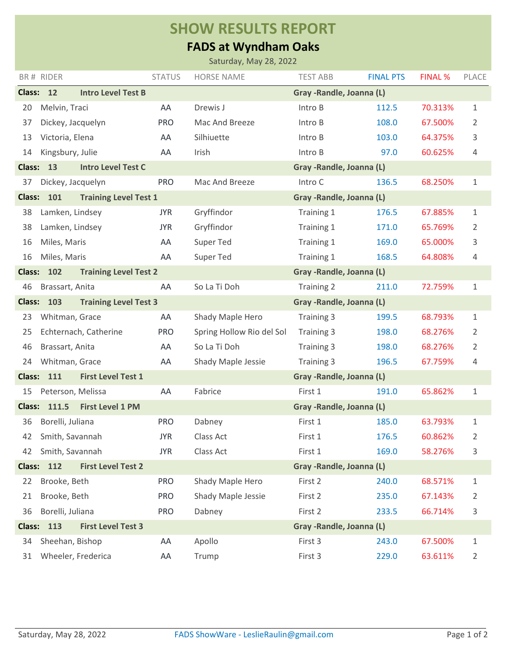## **SHOW RESULTS REPORT**

## **FADS at Wyndham Oaks**

| Saturday, May 28, 2022                                                         |                       |                              |               |                           |                           |                  |                |              |  |  |
|--------------------------------------------------------------------------------|-----------------------|------------------------------|---------------|---------------------------|---------------------------|------------------|----------------|--------------|--|--|
|                                                                                | BR# RIDER             |                              | <b>STATUS</b> | <b>HORSE NAME</b>         | <b>TEST ABB</b>           | <b>FINAL PTS</b> | <b>FINAL %</b> | PLACE        |  |  |
|                                                                                | Class: 12             | <b>Intro Level Test B</b>    |               | Gray - Randle, Joanna (L) |                           |                  |                |              |  |  |
| 20                                                                             | Melvin, Traci         |                              | AA            | Drewis J                  | Intro B                   | 112.5            | 70.313%        | 1            |  |  |
| 37                                                                             | Dickey, Jacquelyn     |                              | <b>PRO</b>    | Mac And Breeze            | Intro B                   | 108.0            | 67.500%        | 2            |  |  |
| 13                                                                             | Victoria, Elena       |                              | AA            | Silhiuette                | Intro B                   | 103.0            | 64.375%        | 3            |  |  |
| 14                                                                             | Kingsbury, Julie      |                              | AA            | Irish                     | Intro B                   | 97.0             | 60.625%        | 4            |  |  |
| <b>Class:</b>                                                                  | 13                    | <b>Intro Level Test C</b>    |               |                           | Gray - Randle, Joanna (L) |                  |                |              |  |  |
| 37                                                                             | Dickey, Jacquelyn     |                              | <b>PRO</b>    | Mac And Breeze            | Intro C                   | 136.5            | 68.250%        | 1            |  |  |
| <b>Class:</b>                                                                  | 101                   | <b>Training Level Test 1</b> |               |                           | Gray - Randle, Joanna (L) |                  |                |              |  |  |
| 38                                                                             | Lamken, Lindsey       |                              | <b>JYR</b>    | Gryffindor                | Training 1                | 176.5            | 67.885%        | 1            |  |  |
| 38                                                                             | Lamken, Lindsey       |                              | <b>JYR</b>    | Gryffindor                | Training 1                | 171.0            | 65.769%        | 2            |  |  |
| 16                                                                             | Miles, Maris          |                              | AA            | <b>Super Ted</b>          | Training 1                | 169.0            | 65.000%        | 3            |  |  |
| 16                                                                             | Miles, Maris          |                              | AA            | <b>Super Ted</b>          | Training 1                | 168.5            | 64.808%        | 4            |  |  |
| 102<br><b>Training Level Test 2</b><br><b>Class:</b>                           |                       |                              |               |                           | Gray - Randle, Joanna (L) |                  |                |              |  |  |
| 46                                                                             | Brassart, Anita       |                              | AA            | So La Ti Doh              | Training 2                | 211.0            | 72.759%        | 1            |  |  |
| <b>Class:</b><br>103<br><b>Training Level Test 3</b>                           |                       |                              |               | Gray - Randle, Joanna (L) |                           |                  |                |              |  |  |
| 23                                                                             | Whitman, Grace        |                              | AA            | Shady Maple Hero          | Training 3                | 199.5            | 68.793%        | 1            |  |  |
| 25                                                                             | Echternach, Catherine |                              | <b>PRO</b>    | Spring Hollow Rio del Sol | Training 3                | 198.0            | 68.276%        | 2            |  |  |
| 46                                                                             | Brassart, Anita       |                              | AA            | So La Ti Doh              | Training 3                | 198.0            | 68.276%        | 2            |  |  |
| 24                                                                             | Whitman, Grace        |                              | AA            | Shady Maple Jessie        | Training 3                | 196.5            | 67.759%        | 4            |  |  |
| <b>Class:</b>                                                                  | 111                   | <b>First Level Test 1</b>    |               |                           | Gray - Randle, Joanna (L) |                  |                |              |  |  |
| 15                                                                             | Peterson, Melissa     |                              | AA            | Fabrice                   | First 1                   | 191.0            | 65.862%        | $\mathbf{1}$ |  |  |
| Class:                                                                         | 111.5                 | <b>First Level 1 PM</b>      |               |                           | Gray - Randle, Joanna (L) |                  |                |              |  |  |
| 36                                                                             | Borelli, Juliana      |                              | <b>PRO</b>    | Dabney                    | First 1                   | 185.0            | 63.793%        | $\mathbf{1}$ |  |  |
| 42                                                                             | Smith, Savannah       |                              | <b>JYR</b>    | Class Act                 | First 1                   | 176.5            | 60.862%        | 2            |  |  |
| 42                                                                             | Smith, Savannah       |                              | <b>JYR</b>    | Class Act                 | First 1                   | 169.0            | 58.276%        | 3            |  |  |
| <b>Class:</b>                                                                  | 112                   | <b>First Level Test 2</b>    |               |                           | Gray - Randle, Joanna (L) |                  |                |              |  |  |
| 22                                                                             | Brooke, Beth          |                              | <b>PRO</b>    | Shady Maple Hero          | First 2                   | 240.0            | 68.571%        | $\mathbf{1}$ |  |  |
| 21                                                                             | Brooke, Beth          |                              | <b>PRO</b>    | Shady Maple Jessie        | First 2                   | 235.0            | 67.143%        | 2            |  |  |
| 36                                                                             | Borelli, Juliana      |                              | <b>PRO</b>    | Dabney                    | First 2                   | 233.5            | 66.714%        | 3            |  |  |
| Gray - Randle, Joanna (L)<br>113<br><b>First Level Test 3</b><br><b>Class:</b> |                       |                              |               |                           |                           |                  |                |              |  |  |
| 34                                                                             | Sheehan, Bishop       |                              | AA            | Apollo                    | First 3                   | 243.0            | 67.500%        | $\mathbf{1}$ |  |  |
| 31                                                                             |                       | Wheeler, Frederica           | AA            | Trump                     | First 3                   | 229.0            | 63.611%        | 2            |  |  |